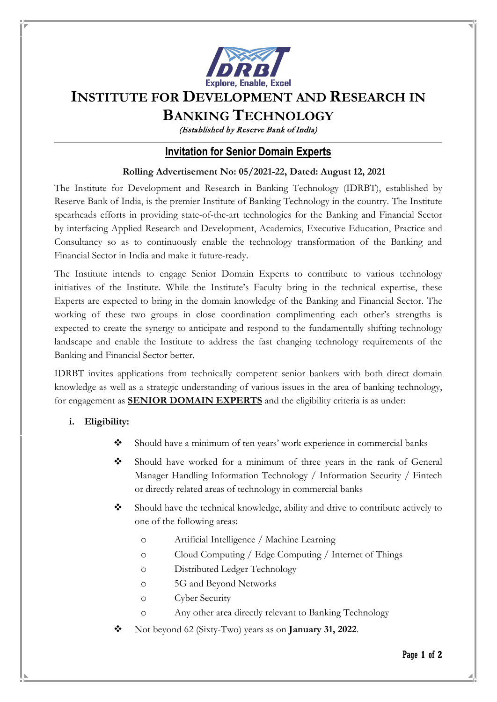

# **INSTITUTE FOR DEVELOPMENT AND RESEARCH IN**

## **BANKING TECHNOLOGY**

(Established by Reserve Bank of India)

### **Invitation for Senior Domain Experts**

#### **Rolling Advertisement No: 05/2021-22, Dated: August 12, 2021**

The Institute for Development and Research in Banking Technology (IDRBT), established by Reserve Bank of India, is the premier Institute of Banking Technology in the country. The Institute spearheads efforts in providing state-of-the-art technologies for the Banking and Financial Sector by interfacing Applied Research and Development, Academics, Executive Education, Practice and Consultancy so as to continuously enable the technology transformation of the Banking and Financial Sector in India and make it future-ready.

The Institute intends to engage Senior Domain Experts to contribute to various technology initiatives of the Institute. While the Institute's Faculty bring in the technical expertise, these Experts are expected to bring in the domain knowledge of the Banking and Financial Sector. The working of these two groups in close coordination complimenting each other's strengths is expected to create the synergy to anticipate and respond to the fundamentally shifting technology landscape and enable the Institute to address the fast changing technology requirements of the Banking and Financial Sector better.

IDRBT invites applications from technically competent senior bankers with both direct domain knowledge as well as a strategic understanding of various issues in the area of banking technology, for engagement as **SENIOR DOMAIN EXPERTS** and the eligibility criteria is as under:

#### **i. Eligibility:**

- Should have a minimum of ten years' work experience in commercial banks
- Should have worked for a minimum of three years in the rank of General Manager Handling Information Technology / Information Security / Fintech or directly related areas of technology in commercial banks
- Should have the technical knowledge, ability and drive to contribute actively to one of the following areas:
	- o Artificial Intelligence / Machine Learning
	- o Cloud Computing / Edge Computing / Internet of Things
	- o Distributed Ledger Technology
	- o 5G and Beyond Networks
	- o Cyber Security
	- o Any other area directly relevant to Banking Technology
- Not beyond 62 (Sixty-Two) years as on **January 31, 2022**.